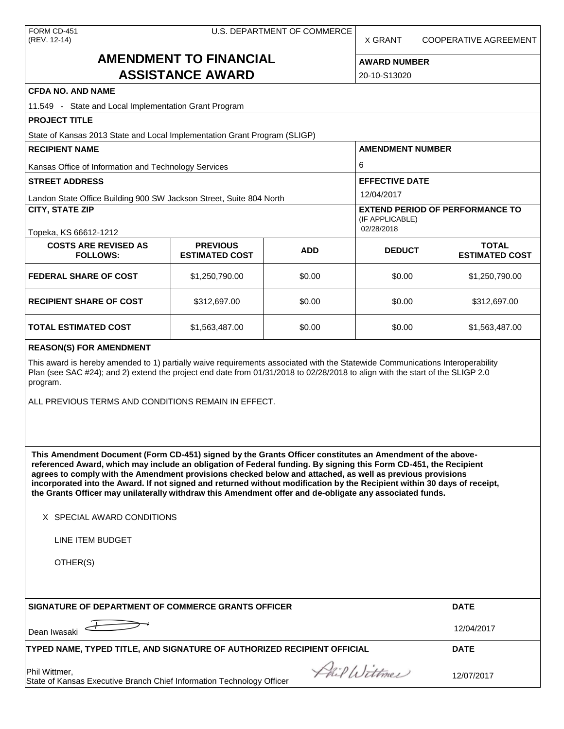| FORM CD-451  |
|--------------|
| (REV. 12-14) |

X GRANT COOPERATIVE AGREEMENT

# **AMENDMENT TO FINANCIAL ASSISTANCE AWARD**

| <b>AWARD NUMBER</b> |  |  |  |  |  |
|---------------------|--|--|--|--|--|
|                     |  |  |  |  |  |

| ASSISTANCE AWARD                                                                                                                                                                                                                                                                                                                  | 20-10-S13020                                                            |            |                       |                                       |  |  |  |
|-----------------------------------------------------------------------------------------------------------------------------------------------------------------------------------------------------------------------------------------------------------------------------------------------------------------------------------|-------------------------------------------------------------------------|------------|-----------------------|---------------------------------------|--|--|--|
| <b>CFDA NO. AND NAME</b>                                                                                                                                                                                                                                                                                                          |                                                                         |            |                       |                                       |  |  |  |
|                                                                                                                                                                                                                                                                                                                                   | 11.549 - State and Local Implementation Grant Program                   |            |                       |                                       |  |  |  |
| <b>PROJECT TITLE</b>                                                                                                                                                                                                                                                                                                              |                                                                         |            |                       |                                       |  |  |  |
| State of Kansas 2013 State and Local Implementation Grant Program (SLIGP)                                                                                                                                                                                                                                                         |                                                                         |            |                       |                                       |  |  |  |
| <b>RECIPIENT NAME</b>                                                                                                                                                                                                                                                                                                             | <b>AMENDMENT NUMBER</b>                                                 |            |                       |                                       |  |  |  |
| Kansas Office of Information and Technology Services                                                                                                                                                                                                                                                                              | 6                                                                       |            |                       |                                       |  |  |  |
| <b>STREET ADDRESS</b>                                                                                                                                                                                                                                                                                                             |                                                                         |            | <b>EFFECTIVE DATE</b> |                                       |  |  |  |
| Landon State Office Building 900 SW Jackson Street, Suite 804 North                                                                                                                                                                                                                                                               |                                                                         |            | 12/04/2017            |                                       |  |  |  |
| <b>CITY, STATE ZIP</b>                                                                                                                                                                                                                                                                                                            | <b>EXTEND PERIOD OF PERFORMANCE TO</b><br>(IF APPLICABLE)<br>02/28/2018 |            |                       |                                       |  |  |  |
| Topeka, KS 66612-1212                                                                                                                                                                                                                                                                                                             |                                                                         |            |                       |                                       |  |  |  |
| <b>COSTS ARE REVISED AS</b><br><b>FOLLOWS:</b>                                                                                                                                                                                                                                                                                    | <b>PREVIOUS</b><br><b>ESTIMATED COST</b>                                | <b>ADD</b> | <b>DEDUCT</b>         | <b>TOTAL</b><br><b>ESTIMATED COST</b> |  |  |  |
| <b>FEDERAL SHARE OF COST</b>                                                                                                                                                                                                                                                                                                      | \$1,250,790.00                                                          | \$0.00     | \$0.00                | \$1,250,790.00                        |  |  |  |
| <b>RECIPIENT SHARE OF COST</b>                                                                                                                                                                                                                                                                                                    | \$312,697.00                                                            | \$0.00     | \$0.00                | \$312,697.00                          |  |  |  |
| <b>TOTAL ESTIMATED COST</b>                                                                                                                                                                                                                                                                                                       | \$1,563,487.00                                                          | \$0.00     | \$0.00                | \$1,563,487.00                        |  |  |  |
| <b>REASON(S) FOR AMENDMENT</b>                                                                                                                                                                                                                                                                                                    |                                                                         |            |                       |                                       |  |  |  |
| This award is hereby amended to 1) partially waive requirements associated with the Statewide Communications Interoperability<br>Plan (see SAC #24); and 2) extend the project end date from 01/31/2018 to 02/28/2018 to align with the start of the SLIGP 2.0<br>program.<br>ALL PREVIOUS TERMS AND CONDITIONS REMAIN IN EFFECT. |                                                                         |            |                       |                                       |  |  |  |

**This Amendment Document (Form CD-451) signed by the Grants Officer constitutes an Amendment of the abovereferenced Award, which may include an obligation of Federal funding. By signing this Form CD-451, the Recipient agrees to comply with the Amendment provisions checked below and attached, as well as previous provisions incorporated into the Award. If not signed and returned without modification by the Recipient within 30 days of receipt, the Grants Officer may unilaterally withdraw this Amendment offer and de-obligate any associated funds.**

X SPECIAL AWARD CONDITIONS

LINE ITEM BUDGET

OTHER(S)

| SIGNATURE OF DEPARTMENT OF COMMERCE GRANTS OFFICER                                                     | <b>DATE</b> |
|--------------------------------------------------------------------------------------------------------|-------------|
| Dean Iwasaki                                                                                           | 12/04/2017  |
| TYPED NAME, TYPED TITLE, AND SIGNATURE OF AUTHORIZED RECIPIENT OFFICIAL                                | <b>DATE</b> |
| Phil Wittmen<br>Phil Wittmer,<br>State of Kansas Executive Branch Chief Information Technology Officer | 12/07/2017  |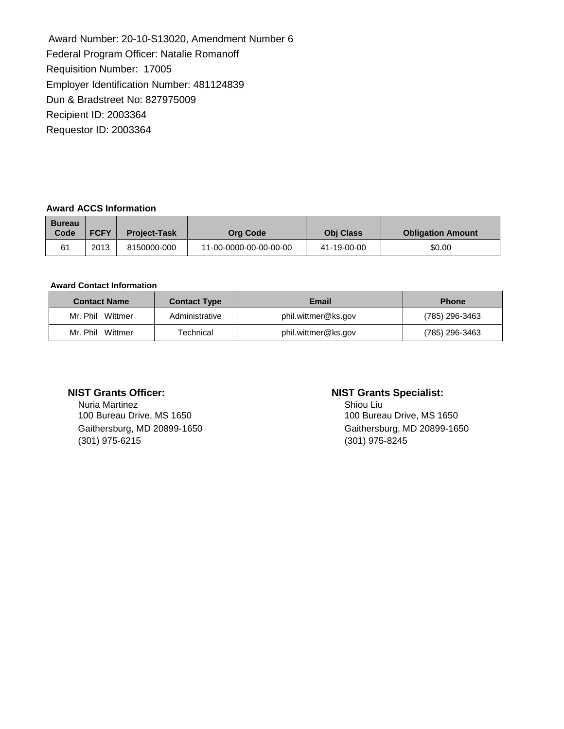Award Number: 20-10-S13020, Amendment Number 6 Federal Program Officer: Natalie Romanoff Requisition Number: 17005 Employer Identification Number: 481124839 Dun & Bradstreet No: 827975009 Recipient ID: 2003364 Requestor ID: 2003364

## **Award ACCS Information**

| <b>Bureau</b><br>Code<br><b>FCFY</b><br><b>Project-Task</b> |      |             | <b>Org Code</b>        | <b>Obi Class</b> | <b>Obligation Amount</b> |
|-------------------------------------------------------------|------|-------------|------------------------|------------------|--------------------------|
|                                                             | 2013 | 8150000-000 | 11-00-0000-00-00-00-00 | 41-19-00-00      | \$0.00                   |

### **Award Contact Information**

| <b>Contact Name</b> | <b>Contact Type</b> | <b>Email</b>        | <b>Phone</b>   |
|---------------------|---------------------|---------------------|----------------|
| Mr. Phil Wittmer    | Administrative      | phil.wittmer@ks.gov | (785) 296-3463 |
| Mr. Phil Wittmer    | Technical           | phil.wittmer@ks.gov | (785) 296-3463 |

Nuria Martinez<br>
100 Bureau Drive, MS 1650<br>
100 Bureau Drive, MS 1650 100 Bureau Drive, MS 1650 (301) 975-6215 (301) 975-8245

## **NIST Grants Officer: NIST Grants Specialist:**

Gaithersburg, MD 20899-1650 Gaithersburg, MD 20899-1650